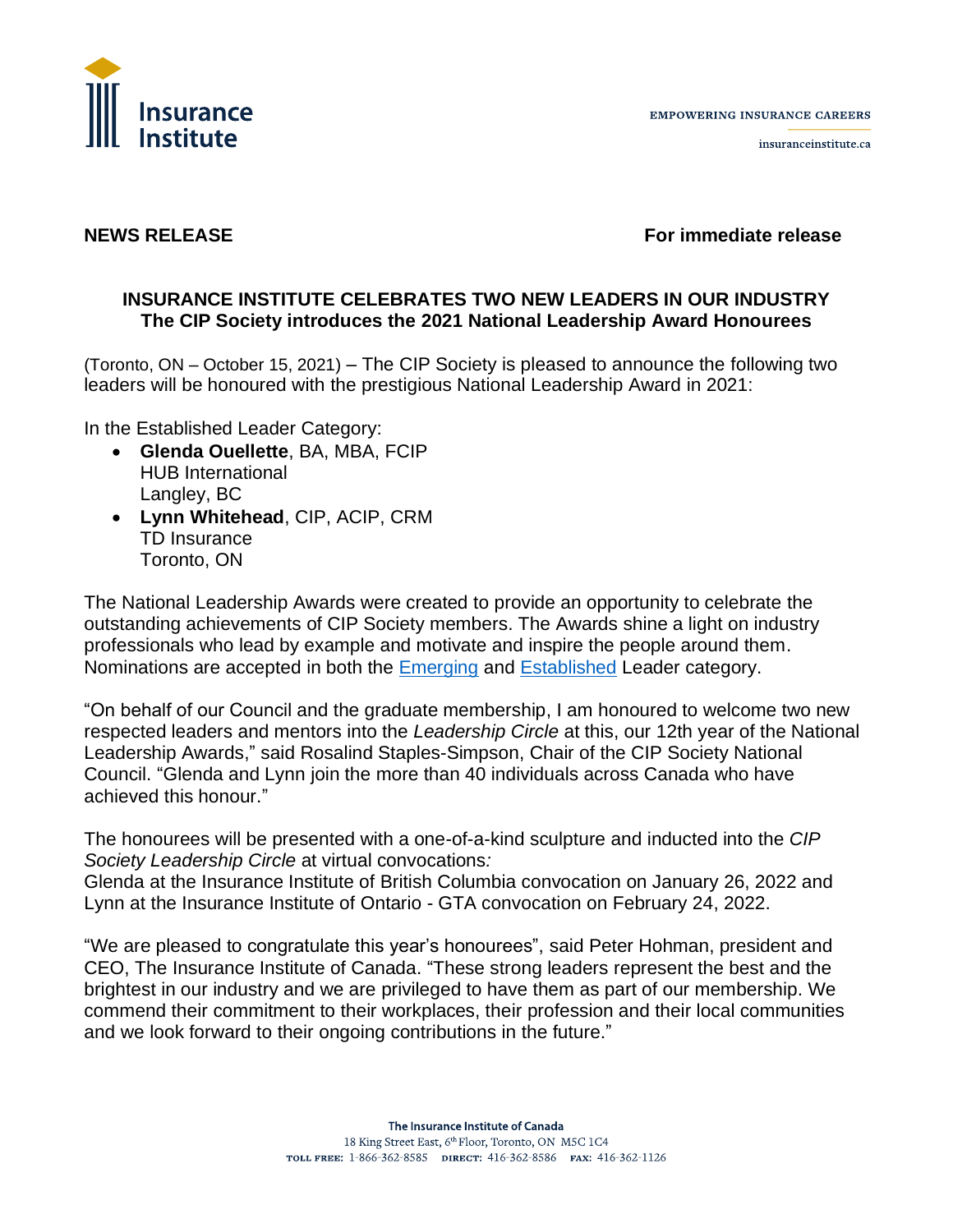

## **NEWS RELEASE For immediate release**

## **INSURANCE INSTITUTE CELEBRATES TWO NEW LEADERS IN OUR INDUSTRY The CIP Society introduces the 2021 National Leadership Award Honourees**

(Toronto, ON – October 15, 2021) – The CIP Society is pleased to announce the following two leaders will be honoured with the prestigious National Leadership Award in 2021:

In the Established Leader Category:

- **Glenda Ouellette**, BA, MBA, FCIP HUB International Langley, BC
- **Lynn Whitehead**, CIP, ACIP, CRM TD Insurance Toronto, ON

The National Leadership Awards were created to provide an opportunity to celebrate the outstanding achievements of CIP Society members. The Awards shine a light on industry professionals who lead by example and motivate and inspire the people around them. Nominations are accepted in both the [Emerging](http://www.insuranceinstitute.ca/en/cipsociety/national-leadership-awards/awards-criteria/emerging-leader.aspx) and [Established](http://www.insuranceinstitute.ca/en/cipsociety/national-leadership-awards/awards-criteria/established-leader.aspx) Leader category.

"On behalf of our Council and the graduate membership, I am honoured to welcome two new respected leaders and mentors into the *Leadership Circle* at this, our 12th year of the National Leadership Awards," said Rosalind Staples-Simpson, Chair of the CIP Society National Council. "Glenda and Lynn join the more than 40 individuals across Canada who have achieved this honour."

The honourees will be presented with a one-of-a-kind sculpture and inducted into the *CIP Society Leadership Circle* at virtual convocations*:*

Glenda at the Insurance Institute of British Columbia convocation on January 26, 2022 and Lynn at the Insurance Institute of Ontario - GTA convocation on February 24, 2022.

"We are pleased to congratulate this year's honourees", said Peter Hohman, president and CEO, The Insurance Institute of Canada. "These strong leaders represent the best and the brightest in our industry and we are privileged to have them as part of our membership. We commend their commitment to their workplaces, their profession and their local communities and we look forward to their ongoing contributions in the future."